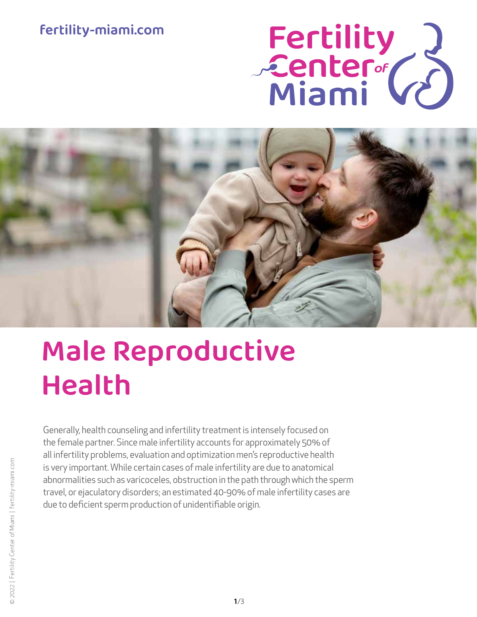## fertility-miami.com

# Fertility<br>Center (2)



# Male Reproductive Health

Generally, health counseling and infertility treatment is intensely focused on the female partner. Since male infertility accounts for approximately 50% of all infertility problems, evaluation and optimization men's reproductive health is very important. While certain cases of male infertility are due to anatomical abnormalities such as varicoceles, obstruction in the path through which the sperm travel, or ejaculatory disorders; an estimated 40-90% of male infertility cases are due to deficient sperm production of unidentifiable origin.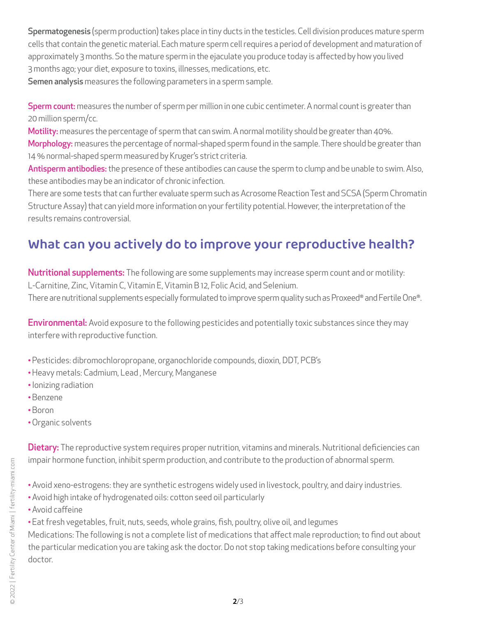Spermatogenesis (sperm production) takes place in tiny ducts in the testicles. Cell division produces mature sperm cells that contain the genetic material. Each mature sperm cell requires a period of development and maturation of approximately 3 months. So the mature sperm in the ejaculate you produce today is affected by how you lived 3 months ago; your diet, exposure to toxins, illnesses, medications, etc. Semen analysis measures the following parameters in a sperm sample.

Sperm count: measures the number of sperm per million in one cubic centimeter. A normal count is greater than 20 million sperm/cc.

Motility: measures the percentage of sperm that can swim. A normal motility should be greater than 40%. Morphology: measures the percentage of normal-shaped sperm found in the sample. There should be greater than 14 % normal-shaped sperm measured by Kruger's strict criteria.

Antisperm antibodies: the presence of these antibodies can cause the sperm to clump and be unable to swim. Also, these antibodies may be an indicator of chronic infection.

There are some tests that can further evaluate sperm such as Acrosome Reaction Test and SCSA (Sperm Chromatin Structure Assay) that can yield more information on your fertility potential. However, the interpretation of the results remains controversial.

# What can you actively do to improve your reproductive health?

Nutritional supplements: The following are some supplements may increase sperm count and or motility: L-Carnitine, Zinc, Vitamin C, Vitamin E, Vitamin B 12, Folic Acid, and Selenium. There are nutritional supplements especially formulated to improve sperm quality such as Proxeed® and Fertile One®.

**Environmental:** Avoid exposure to the following pesticides and potentially toxic substances since they may interfere with reproductive function.

- •Pesticides: dibromochloropropane, organochloride compounds, dioxin, DDT, PCB's
- •Heavy metals: Cadmium, Lead , Mercury, Manganese
- •Ionizing radiation
- •Benzene
- •Boron
- •Organic solvents

Dietary: The reproductive system requires proper nutrition, vitamins and minerals. Nutritional deficiencies can impair hormone function, inhibit sperm production, and contribute to the production of abnormal sperm.

- •Avoid xeno-estrogens: they are synthetic estrogens widely used in livestock, poultry, and dairy industries.
- •Avoid high intake of hydrogenated oils: cotton seed oil particularly
- •Avoid caffeine
- •Eat fresh vegetables, fruit, nuts, seeds, whole grains, fish, poultry, olive oil, and legumes

Medications: The following is not a complete list of medications that affect male reproduction; to find out about the particular medication you are taking ask the doctor. Do not stop taking medications before consulting your doctor.